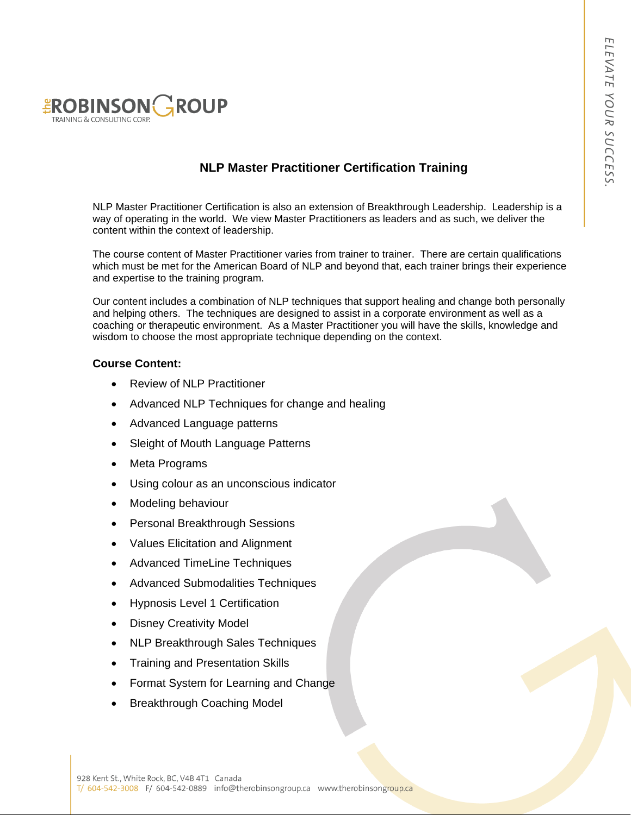

### **NLP Master Practitioner Certification Training**

NLP Master Practitioner Certification is also an extension of Breakthrough Leadership. Leadership is a way of operating in the world. We view Master Practitioners as leaders and as such, we deliver the content within the context of leadership.

The course content of Master Practitioner varies from trainer to trainer. There are certain qualifications which must be met for the American Board of NLP and beyond that, each trainer brings their experience and expertise to the training program.

Our content includes a combination of NLP techniques that support healing and change both personally and helping others. The techniques are designed to assist in a corporate environment as well as a coaching or therapeutic environment. As a Master Practitioner you will have the skills, knowledge and wisdom to choose the most appropriate technique depending on the context.

#### **Course Content:**

- Review of NLP Practitioner
- Advanced NLP Techniques for change and healing
- Advanced Language patterns
- Sleight of Mouth Language Patterns
- Meta Programs
- Using colour as an unconscious indicator
- Modeling behaviour
- Personal Breakthrough Sessions
- Values Elicitation and Alignment
- Advanced TimeLine Techniques
- Advanced Submodalities Techniques
- Hypnosis Level 1 Certification
- Disney Creativity Model
- NLP Breakthrough Sales Techniques
- Training and Presentation Skills
- Format System for Learning and Change
- Breakthrough Coaching Model